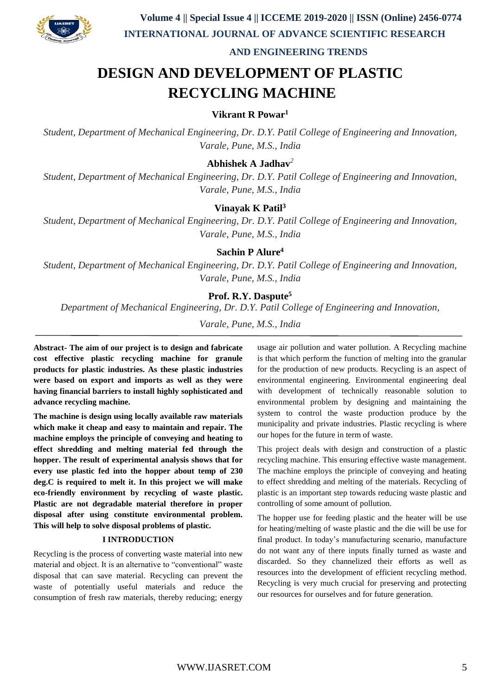

 **AND ENGINEERING TRENDS**

# **DESIGN AND DEVELOPMENT OF PLASTIC RECYCLING MACHINE**

# **Vikrant R Powar<sup>1</sup>**

*Student, Department of Mechanical Engineering, Dr. D.Y. Patil College of Engineering and Innovation, Varale, Pune, M.S., India*

# **Abhishek A Jadhav***<sup>2</sup>*

*Student, Department of Mechanical Engineering, Dr. D.Y. Patil College of Engineering and Innovation, Varale, Pune, M.S., India*

### **Vinayak K Patil<sup>3</sup>**

*Student, Department of Mechanical Engineering, Dr. D.Y. Patil College of Engineering and Innovation, Varale, Pune, M.S., India*

# **Sachin P Alure<sup>4</sup>**

*Student, Department of Mechanical Engineering, Dr. D.Y. Patil College of Engineering and Innovation, Varale, Pune, M.S., India*

### **Prof. R.Y. Daspute<sup>5</sup>**

*Department of Mechanical Engineering, Dr. D.Y. Patil College of Engineering and Innovation,*

*Varale, Pune, M.S., India*

**Abstract- The aim of our project is to design and fabricate cost effective plastic recycling machine for granule products for plastic industries. As these plastic industries were based on export and imports as well as they were having financial barriers to install highly sophisticated and advance recycling machine.**

**The machine is design using locally available raw materials which make it cheap and easy to maintain and repair. The machine employs the principle of conveying and heating to effect shredding and melting material fed through the hopper. The result of experimental analysis shows that for every use plastic fed into the hopper about temp of 230 deg.C is required to melt it. In this project we will make eco-friendly environment by recycling of waste plastic. Plastic are not degradable material therefore in proper disposal after using constitute environmental problem. This will help to solve disposal problems of plastic.**

#### **I INTRODUCTION**

Recycling is the process of converting waste material into new material and object. It is an alternative to "conventional" waste disposal that can save material. Recycling can prevent the waste of potentially useful materials and reduce the consumption of fresh raw materials, thereby reducing; energy usage air pollution and water pollution. A Recycling machine is that which perform the function of melting into the granular for the production of new products. Recycling is an aspect of environmental engineering. Environmental engineering deal with development of technically reasonable solution to environmental problem by designing and maintaining the system to control the waste production produce by the municipality and private industries. Plastic recycling is where our hopes for the future in term of waste.

This project deals with design and construction of a plastic recycling machine. This ensuring effective waste management. The machine employs the principle of conveying and heating to effect shredding and melting of the materials. Recycling of plastic is an important step towards reducing waste plastic and controlling of some amount of pollution.

The hopper use for feeding plastic and the heater will be use for heating/melting of waste plastic and the die will be use for final product. In today's manufacturing scenario, manufacture do not want any of there inputs finally turned as waste and discarded. So they channelized their efforts as well as resources into the development of efficient recycling method. Recycling is very much crucial for preserving and protecting our resources for ourselves and for future generation.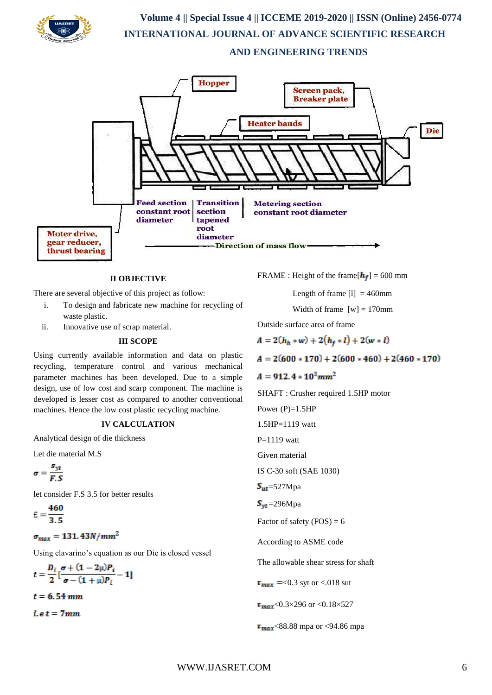

# **Volume 4 || Special Issue 4 || ICCEME 2019-2020 || ISSN (Online) 2456-0774 INTERNATIONAL JOURNAL OF ADVANCE SCIENTIFIC RESEARCH AND ENGINEERING TRENDS**



#### **II OBJECTIVE**

There are several objective of this project as follow:

- i. To design and fabricate new machine for recycling of waste plastic.
- ii. Innovative use of scrap material.

#### **III SCOPE**

Using currently available information and data on plastic recycling, temperature control and various mechanical parameter machines has been developed. Due to a simple design, use of low cost and scarp component. The machine is developed is lesser cost as compared to another conventional machines. Hence the low cost plastic recycling machine.

#### **IV CALCULATION**

Analytical design of die thickness

Let die material M.S

$$
\sigma = \frac{s_{yt}}{F.S}
$$

let consider F.S. 3.5 for better results

$$
E=\frac{460}{3.5}
$$

 $\sigma_{max} = 131.43N/mm^2$ 

Using clavarino's equation as our Die is closed vessel

$$
t = \frac{D_i}{2} \left[ \frac{\sigma + (1 - 2\mu)P_i}{\sigma - (1 + \mu)P_i} - 1 \right]
$$

 $t = 6.54 \, mm$ 

 $i.e t = 7mm$ 

FRAME : Height of the frame  $[h_f] = 600$  mm

Length of frame  $[1] = 460$ mm

Width of frame  $[w] = 170$ mm

Outside surface area of frame

 $A = 2(h_h * w) + 2(h_f * l) + 2(w * l)$ 

 $A = 2(600 * 170) + 2(600 * 460) + 2(460 * 170)$ 

$$
A=912.4*10^3mm^2
$$

SHAFT : Crusher required 1.5HP motor

Power  $(P)=1.5HP$ 1.5HP=1119 watt

 $P=1119$  watt

Given material

IS C-30 soft (SAE 1030)

$$
S_{ut} = 527 \text{Mpa}
$$

 $S_{\text{vt}}$ =296Mpa

Factor of safety 
$$
(FOS) = 6
$$

According to ASME code

The allowable shear stress for shaft

 $\tau_{max}$  =<0.3 syt or <.018 sut

 $\tau_{max}$ <0.3×296 or <0.18×527

 $\tau_{max}$ <88.88 mpa or <94.86 mpa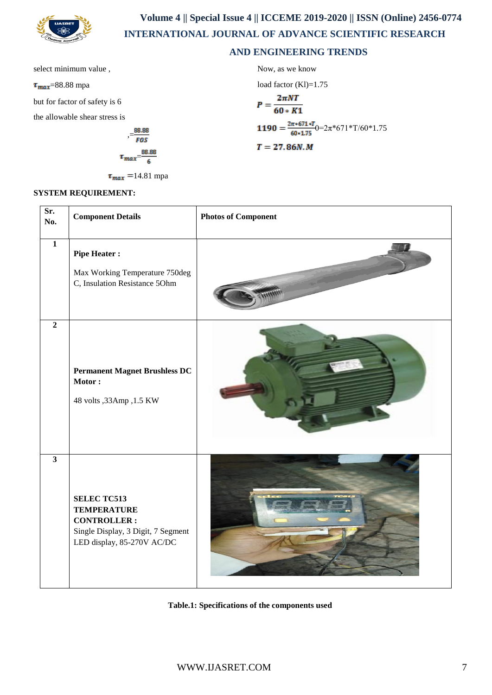

 **Volume 4 || Special Issue 4 || ICCEME 2019-2020 || ISSN (Online) 2456-0774 INTERNATIONAL JOURNAL OF ADVANCE SCIENTIFIC RESEARCH** 

## **AND ENGINEERING TRENDS**

select minimum value ,

 $\tau_{max}$ =88.88 mpa

but for factor of safety is 6

the allowable shear stress is

$$
\tau_{max} = \frac{88.88}{6}
$$

 $\tau_{max}$  =14.81 mpa

Now, as we know  
\nload factor (Kl)=1.75  
\n
$$
P = \frac{2\pi NT}{60 * K1}
$$
\n
$$
1190 = \frac{2\pi *671 * T}{60 * 1.75}0 = 2\pi *671 * T/60 * 1.75
$$
\n
$$
T = 27.86N.M
$$

#### **SYSTEM REQUIREMENT:**

| Sr.<br>No.              | <b>Component Details</b>                                                                                                           | <b>Photos of Component</b> |
|-------------------------|------------------------------------------------------------------------------------------------------------------------------------|----------------------------|
| $\mathbf{1}$            | <b>Pipe Heater:</b><br>Max Working Temperature 750deg<br>C, Insulation Resistance 50hm                                             |                            |
| $\overline{2}$          | <b>Permanent Magnet Brushless DC</b><br>Motor:<br>48 volts , 33Amp , 1.5 KW                                                        |                            |
| $\overline{\mathbf{3}}$ | <b>SELEC TC513</b><br><b>TEMPERATURE</b><br><b>CONTROLLER:</b><br>Single Display, 3 Digit, 7 Segment<br>LED display, 85-270V AC/DC |                            |

**Table.1: Specifications of the components used**